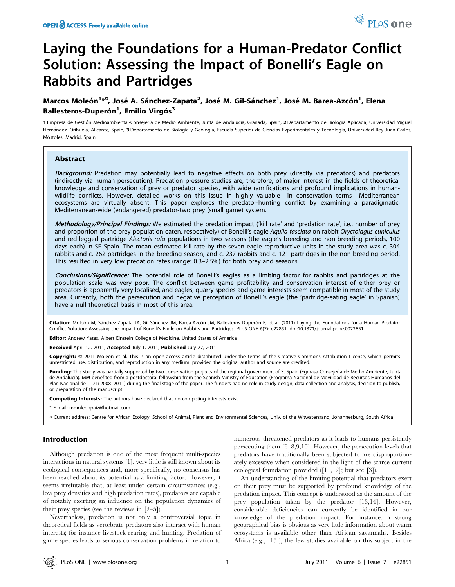# Laying the Foundations for a Human-Predator Conflict Solution: Assessing the Impact of Bonelli's Eagle on Rabbits and Partridges

## Marcos Moleón<sup>1<sub>\*</sub>¤,</sup> José A. Sánchez-Zapata<sup>2</sup>, José M. Gil-Sánchez<sup>1</sup>, José M. Barea-Azcón<sup>1</sup>, Elena Ballesteros-Duperón<sup>1</sup>, Emilio Virgós<sup>3</sup>

1 Empresa de Gestión Medioambiental-Consejería de Medio Ambiente, Junta de Andalucía, Granada, Spain, 2 Departamento de Biología Aplicada, Universidad Miguel Hernández, Orihuela, Alicante, Spain, 3 Departamento de Biología y Geología, Escuela Superior de Ciencias Experimentales y Tecnología, Universidad Rey Juan Carlos, Móstoles, Madrid, Spain

## Abstract

Background: Predation may potentially lead to negative effects on both prey (directly via predators) and predators (indirectly via human persecution). Predation pressure studies are, therefore, of major interest in the fields of theoretical knowledge and conservation of prey or predator species, with wide ramifications and profound implications in humanwildlife conflicts. However, detailed works on this issue in highly valuable –in conservation terms– Mediterranean ecosystems are virtually absent. This paper explores the predator-hunting conflict by examining a paradigmatic, Mediterranean-wide (endangered) predator-two prey (small game) system.

Methodology/Principal Findings: We estimated the predation impact ('kill rate' and 'predation rate', i.e., number of prey and proportion of the prey population eaten, respectively) of Bonelli's eagle Aquila fasciata on rabbit Oryctolagus cuniculus and red-legged partridge Alectoris rufa populations in two seasons (the eagle's breeding and non-breeding periods, 100 days each) in SE Spain. The mean estimated kill rate by the seven eagle reproductive units in the study area was c. 304 rabbits and c. 262 partridges in the breeding season, and c. 237 rabbits and c. 121 partridges in the non-breeding period. This resulted in very low predation rates (range: 0.3–2.5%) for both prey and seasons.

Conclusions/Significance: The potential role of Bonelli's eagles as a limiting factor for rabbits and partridges at the population scale was very poor. The conflict between game profitability and conservation interest of either prey or predators is apparently very localised, and eagles, quarry species and game interests seem compatible in most of the study area. Currently, both the persecution and negative perception of Bonelli's eagle (the 'partridge-eating eagle' in Spanish) have a null theoretical basis in most of this area.

Citation: Moleón M, Sánchez-Zapata JA, Gil-Sánchez JM, Barea-Azcón JM, Ballesteros-Duperón E, et al. (2011) Laying the Foundations for a Human-Predator Conflict Solution: Assessing the Impact of Bonelli's Eagle on Rabbits and Partridges. PLoS ONE 6(7): e22851. doi:10.1371/journal.pone.0022851

Editor: Andrew Yates, Albert Einstein College of Medicine, United States of America

Received April 12, 2011; Accepted July 1, 2011; Published July 27, 2011

Copyright: © 2011 Moleón et al. This is an open-access article distributed under the terms of the Creative Commons Attribution License, which permits unrestricted use, distribution, and reproduction in any medium, provided the original author and source are credited.

Funding: This study was partially supported by two conservation projects of the regional government of S. Spain (Egmasa-Consejería de Medio Ambiente, Junta de Andalucía). MM benefited from a postdoctoral fellowship from the Spanish Ministry of Education (Programa Nacional de Movilidad de Recursos Humanos del Plan Nacional de I+D+i 2008-2011) during the final stage of the paper. The funders had no role in study design, data collection and analysis, decision to publish, or preparation of the manuscript.

Competing Interests: The authors have declared that no competing interests exist.

\* E-mail: mmoleonpaiz@hotmail.com

¤ Current address: Centre for African Ecology, School of Animal, Plant and Environmental Sciences, Univ. of the Witwatersrand, Johannesburg, South Africa

## Introduction

Although predation is one of the most frequent multi-species interactions in natural systems [1], very little is still known about its ecological consequences and, more specifically, no consensus has been reached about its potential as a limiting factor. However, it seems irrefutable that, at least under certain circumstances (e.g., low prey densities and high predation rates), predators are capable of notably exerting an influence on the population dynamics of their prey species (see the reviews in [2–5]).

Nevertheless, predation is not only a controversial topic in theoretical fields as vertebrate predators also interact with human interests; for instance livestock rearing and hunting. Predation of game species leads to serious conservation problems in relation to

numerous threatened predators as it leads to humans persistently persecuting them [6–8,9,10]. However, the persecution levels that predators have traditionally been subjected to are disproportionately excessive when considered in the light of the scarce current ecological foundation provided ([11,12]; but see [3]).

An understanding of the limiting potential that predators exert on their prey must be supported by profound knowledge of the predation impact. This concept is understood as the amount of the prey population taken by the predator [13,14]. However, considerable deficiencies can currently be identified in our knowledge of the predation impact. For instance, a strong geographical bias is obvious as very little information about warm ecosystems is available other than African savannahs. Besides Africa (e.g., [15]), the few studies available on this subject in the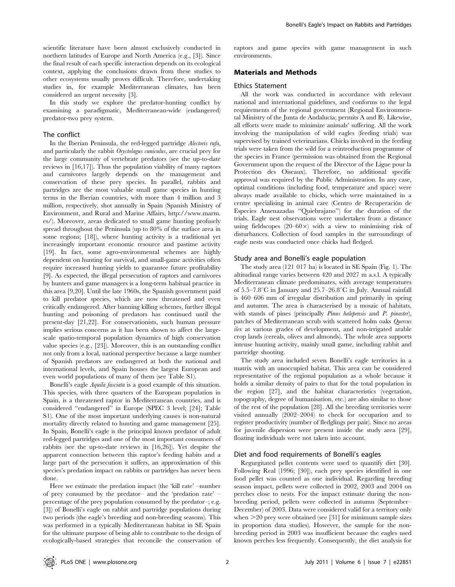scientific literature have been almost exclusively conducted in northern latitudes of Europe and North America (e.g., [3]). Since the final result of each specific interaction depends on its ecological context, applying the conclusions drawn from these studies to other ecosystems usually proves difficult. Therefore, undertaking studies in, for example Mediterranean climates, has been considered an urgent necessity [3].

In this study we explore the predator-hunting conflict by examining a paradigmatic, Mediterranean-wide (endangered) predator-two prey system.

#### The conflict

In the Iberian Peninsula, the red-legged partridge Alectoris rufa, and particularly the rabbit Oryctolagus cuniculus, are crucial prey for the large community of vertebrate predators (see the up-to-date reviews in [16,17]). Thus the population viability of many raptors and carnivores largely depends on the management and conservation of these prey species. In parallel, rabbits and partridges are the most valuable small game species in hunting terms in the Iberian countries, with more than 4 million and 3 million, respectively, shot annually in Spain (Spanish Ministry of Environment, and Rural and Marine Affairs, http://www.marm. es/). Moreover, areas dedicated to small game hunting profusely spread throughout the Peninsula (up to 80% of the surface area in some regions; [18]), where hunting activity is a traditional yet increasingly important economic resource and pastime activity [19]. In fact, some agro-environmental schemes are highly dependent on hunting for survival, and small-game activities often require increased hunting yields to guarantee future profitability [9]. As expected, the illegal persecution of raptors and carnivores by hunters and game managers is a long-term habitual practice in this area [9,20]. Until the late 1960s, the Spanish government paid to kill predator species, which are now threatened and even critically endangered. After banning killing schemes, further illegal hunting and poisoning of predators has continued until the present-day [21,22]. For conservationists, such human pressure implies serious concerns as it has been shown to affect the largescale spatio-temporal population dynamics of high conservation value species (e.g., [23]). Moreover, this is an outstanding conflict not only from a local, national perspective because a large number of Spanish predators are endangered at both the national and international levels, and Spain houses the largest European and even world populations of many of them (see Table S1).

Bonelli's eagle Aquila fasciata is a good example of this situation. This species, with three quarters of the European population in Spain, is a threatened raptor in Mediterranean countries, and is considered ''endangered'' in Europe (SPEC 3 level; [24]; Table S1). One of the most important underlying causes is non-natural mortality directly related to hunting and game management [25]. In Spain, Bonelli's eagle is the principal known predator of adult red-legged partridges and one of the most important consumers of rabbits (see the up-to-date reviews in [16,26]). Yet despite the apparent connection between this raptor's feeding habits and a large part of the persecution it suffers, an approximation of this species's predation impact on rabbits or partridges has never been done.

Here we estimate the predation impact (the 'kill rate' –number of prey consumed by the predator– and the 'predation rate' – percentage of the prey population consumed by the predator–; e.g. [3]) of Bonelli's eagle on rabbit and partridge populations during two periods (the eagle's breeding and non-breeding seasons). This was performed in a typically Mediterranean habitat in SE Spain for the ultimate purpose of being able to contribute to the design of ecologically-based strategies that reconcile the conservation of raptors and game species with game management in such environments.

## Materials and Methods

#### Ethics Statement

All the work was conducted in accordance with relevant national and international guidelines, and conforms to the legal requirements of the regional government (Regional Environmental Ministry of the Junta de Andalucía; permits A and B). Likewise, all efforts were made to minimize animals' suffering. All the work involving the manipulation of wild eagles (feeding trials) was supervised by trained veterinarians. Chicks involved in the feeding trials were taken from the wild for a reintroduction programme of the species in France (permission was obtained from the Regional Government upon the request of the Director of the Ligue pour la Protection des Oiseaux). Therefore, no additional specific approval was required by the Public Administration. In any case, optimal conditions (including food, temperature and space) were always made available to chicks, which were maintained in a centre specialising in animal care (Centro de Recuperación de Especies Amenazadas ''Quiebrajano'') for the duration of the trials. Eagle nest observations were undertaken from a distance using fieldscopes  $(20-60\times)$  with a view to minimising risk of disturbances. Collection of food samples in the surroundings of eagle nests was conducted once chicks had fledged.

#### Study area and Bonelli's eagle population

The study area (121 017 ha) is located in SE Spain (Fig. 1). The altitudinal range varies between 420 and 2027 m a.s.l. A typically Mediterranean climate predominates, with average temperatures of  $5.5-7.8$ °C in January and  $25.7-26.8$ °C in July. Annual rainfall is 460–606 mm of irregular distribution and primarily in spring and autumn. The area is characterised by a mosaic of habitats, with stands of pines (principally Pinus halepensis and P. pinaster), patches of Mediterranean scrub with scattered holm oaks Quercus ilex at various grades of development, and non-irrigated arable crop lands (cereals, olives and almonds). The whole area supports intense hunting activity, mainly small game, including rabbit and partridge shooting.

The study area included seven Bonelli's eagle territories in a matrix with an unoccupied habitat. This area can be considered representative of the regional population as a whole because it holds a similar density of pairs to that for the total population in the region [27], and the habitat characteristics (vegetation, topography, degree of humanisation, etc.) are also similar to those of the rest of the population [28]. All the breeding territories were visited annually (2002–2004) to check for occupation and to register productivity (number of fledglings per pair). Since no areas for juvenile dispersion were present inside the study area [29], floating individuals were not taken into account.

#### Diet and food requirements of Bonelli's eagles

Regurgitated pellet contents were used to quantify diet [30]. Following Real (1996; [30]), each prey species identified in one food pellet was counted as one individual. Regarding breeding season impact, pellets were collected in 2002, 2003 and 2004 on perches close to nests. For the impact estimate during the nonbreeding period, pellets were collected in autumn (September– December) of 2003. Data were considered valid for a territory only when  $>$ 20 prey were obtained (see [31] for minimum sample sizes in proportion data studies). However, the sample for the nonbreeding period in 2003 was insufficient because the eagles used known perches less frequently. Consequently, the diet analysis for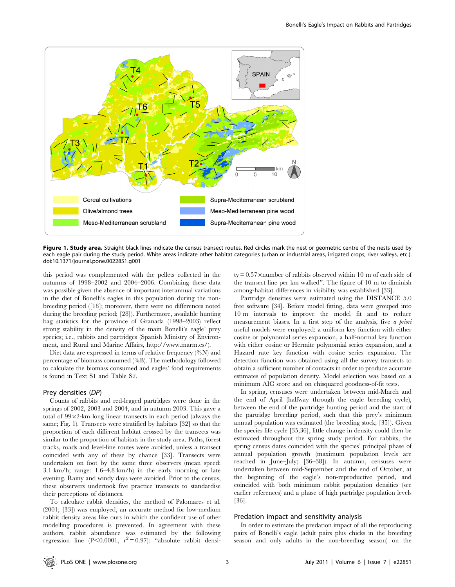

Figure 1. Study area. Straight black lines indicate the census transect routes. Red circles mark the nest or geometric centre of the nests used by each eagle pair during the study period. White areas indicate other habitat categories (urban or industrial areas, irrigated crops, river valleys, etc.). doi:10.1371/journal.pone.0022851.g001

this period was complemented with the pellets collected in the autumns of 1998–2002 and 2004–2006. Combining these data was possible given the absence of important interannual variations in the diet of Bonelli's eagles in this population during the nonbreeding period ([18]; moreover, there were no differences noted during the breeding period; [28]). Furthermore, available hunting bag statistics for the province of Granada (1998–2003) reflect strong stability in the density of the main Bonelli's eagle' prey species; i.e., rabbits and partridges (Spanish Ministry of Environment, and Rural and Marine Affairs, http://www.marm.es/).

Diet data are expressed in terms of relative frequency (%N) and percentage of biomass consumed (%B). The methodology followed to calculate the biomass consumed and eagles' food requirements is found in Text S1 and Table S2.

#### Prey densities (DP)

Counts of rabbits and red-legged partridges were done in the springs of 2002, 2003 and 2004, and in autumn 2003. This gave a total of  $99 \times 2$ -km long linear transects in each period (always the same; Fig. 1). Transects were stratified by habitats [32] so that the proportion of each different habitat crossed by the transects was similar to the proportion of habitats in the study area. Paths, forest tracks, roads and level-line routes were avoided, unless a transect coincided with any of these by chance [33]. Transects were undertaken on foot by the same three observers (mean speed: 3.1 km/h; range: 1.6–4.8 km/h) in the early morning or late evening. Rainy and windy days were avoided. Prior to the census, these observers undertook five practice transects to standardise their perceptions of distances.

To calculate rabbit densities, the method of Palomares et al. (2001; [33]) was employed, an accurate method for low-medium rabbit density areas like ours in which the confident use of other modelling procedures is prevented. In agreement with these authors, rabbit abundance was estimated by the following regression line (P<0.0001,  $r^2 = 0.97$ ): "absolute rabbit densi $ty = 0.57$  ×number of rabbits observed within 10 m of each side of the transect line per km walked''. The figure of 10 m to diminish among-habitat differences in visibility was established [33].

Partridge densities were estimated using the DISTANCE 5.0 free software [34]. Before model fitting, data were grouped into 10 m intervals to improve the model fit and to reduce measurement biases. In a first step of the analysis, five a priori useful models were employed: a uniform key function with either cosine or polynomial series expansion, a half-normal key function with either cosine or Hermite polynomial series expansion, and a Hazard rate key function with cosine series expansion. The detection function was obtained using all the survey transects to obtain a sufficient number of contacts in order to produce accurate estimates of population density. Model selection was based on a minimum AIC score and on chisquared goodness-of-fit tests.

In spring, censuses were undertaken between mid-March and the end of April (halfway through the eagle breeding cycle), between the end of the partridge hunting period and the start of the partridge breeding period, such that this prey's minimum annual population was estimated (the breeding stock; [35]). Given the species life cycle [35,36], little change in density could then be estimated throughout the spring study period. For rabbits, the spring census dates coincided with the species' principal phase of annual population growth (maximum population levels are reached in June–July; [36–38]). In autumn, censuses were undertaken between mid-September and the end of October, at the beginning of the eagle's non-reproductive period, and coincided with both minimum rabbit population densities (see earlier references) and a phase of high partridge population levels [36].

#### Predation impact and sensitivity analysis

In order to estimate the predation impact of all the reproducing pairs of Bonelli's eagle (adult pairs plus chicks in the breeding season and only adults in the non-breeding season) on the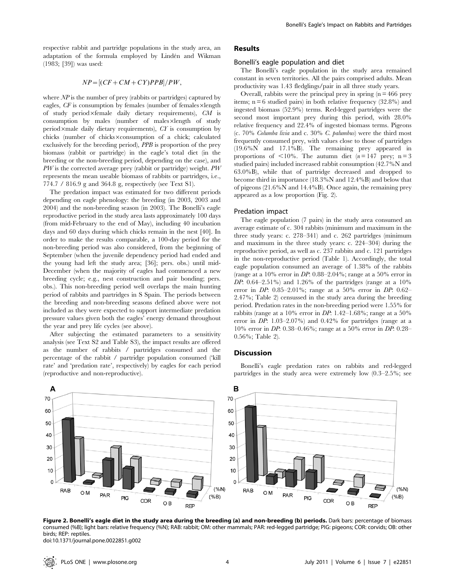respective rabbit and partridge populations in the study area, an adaptation of the formula employed by Lindén and Wikman (1983; [39]) was used:

## $NP = [(CF + CM + CY)PPB]/PW,$

where  $\overline{NP}$  is the number of prey (rabbits or partridges) captured by eagles,  $CF$  is consumption by females (number of females $\times$ length of study period×female daily dietary requirements),  $CM$  is  $\alpha$  consumption by males (number of males $\times$ length of study period×male daily dietary requirements),  $CT$  is consumption by chicks (number of chicks $\times$ consumption of a chick; calculated exclusively for the breeding period), PPB is proportion of the prey biomass (rabbit or partridge) in the eagle's total diet (in the breeding or the non-breeding period, depending on the case), and PW is the corrected average prey (rabbit or partridge) weight. PW represents the mean useable biomass of rabbits or partridges, i.e., 774.7 / 816.9 g and 364.8 g, respectively (see Text S1).

The predation impact was estimated for two different periods depending on eagle phenology: the breeding (in 2003, 2003 and 2004) and the non-breeding season (in 2003). The Bonelli's eagle reproductive period in the study area lasts approximately 100 days (from mid-February to the end of May), including 40 incubation days and 60 days during which chicks remain in the nest [40]. In order to make the results comparable, a 100-day period for the non-breeding period was also considered, from the beginning of September (when the juvenile dependency period had ended and the young had left the study area; [36]; pers. obs.) until mid-December (when the majority of eagles had commenced a new breeding cycle; e.g., nest construction and pair bonding; pers. obs.). This non-breeding period well overlaps the main hunting period of rabbits and partridges in S Spain. The periods between the breeding and non-breeding seasons defined above were not included as they were expected to support intermediate predation pressure values given both the eagles' energy demand throughout the year and prey life cycles (see above).

After subjecting the estimated parameters to a sensitivity analysis (see Text S2 and Table S3), the impact results are offered as the number of rabbits / partridges consumed and the percentage of the rabbit / partridge population consumed ('kill rate' and 'predation rate', respectively) by eagles for each period (reproductive and non-reproductive).

## Results

#### Bonelli's eagle population and diet

The Bonelli's eagle population in the study area remained constant in seven territories. All the pairs comprised adults. Mean productivity was 1.43 fledglings/pair in all three study years.

Overall, rabbits were the principal prey in spring  $(n = 466$  prey items;  $n = 6$  studied pairs) in both relative frequency (32.8%) and ingested biomass (52.9%) terms. Red-legged partridges were the second most important prey during this period, with 28.0% relative frequency and 22.4% of ingested biomass terms. Pigeons (c. 70% Columba livia and c. 30% C. palumbus) were the third most frequently consumed prey, with values close to those of partridges (19.6%N and 17.1%B). The remaining prey appeared in proportions of  $\langle 10\% \rangle$ . The autumn diet (n = 147 prey; n = 3) studied pairs) included increased rabbit consumption (42.7%N and 63.0%B), while that of partridge decreased and dropped to become third in importance (18.3%N and 12.4%B) and below that of pigeons (21.6%N and 14.4%B). Once again, the remaining prey appeared as a low proportion (Fig. 2).

## Predation impact

The eagle population (7 pairs) in the study area consumed an average estimate of c. 304 rabbits (minimum and maximum in the three study years: c. 278–341) and c. 262 partridges (minimum and maximum in the three study years: c. 224–304) during the reproductive period, as well as c. 237 rabbits and c. 121 partridges in the non-reproductive period (Table 1). Accordingly, the total eagle population consumed an average of 1.38% of the rabbits (range at a 10% error in DP: 0.88–2.04%; range at a 50% error in DP:  $0.64-2.51\%$ ) and 1.26% of the partridges (range at a  $10\%$ ) error in DP: 0.85–2.01%; range at a 50% error in DP: 0.62– 2.47%; Table 2) censussed in the study area during the breeding period. Predation rates in the non-breeding period were 1.55% for rabbits (range at a 10% error in DP: 1.42–1.68%; range at a  $50\%$ error in DP: 1.03–2.07%) and 0.42% for partridges (range at a 10% error in DP: 0.38–0.46%; range at a 50% error in DP: 0.28– 0.56%; Table 2).

## Discussion



Bonelli's eagle predation rates on rabbits and red-legged partridges in the study area were extremely low (0.3–2.5%; see

Figure 2. Bonelli's eagle diet in the study area during the breeding (a) and non-breeding (b) periods. Dark bars: percentage of biomass consumed (%B); light bars: relative frequency (%N); RAB: rabbit; OM: other mammals; PAR: red-legged partridge; PIG: pigeons; COR: corvids; OB: other birds; REP: reptiles. doi:10.1371/journal.pone.0022851.g002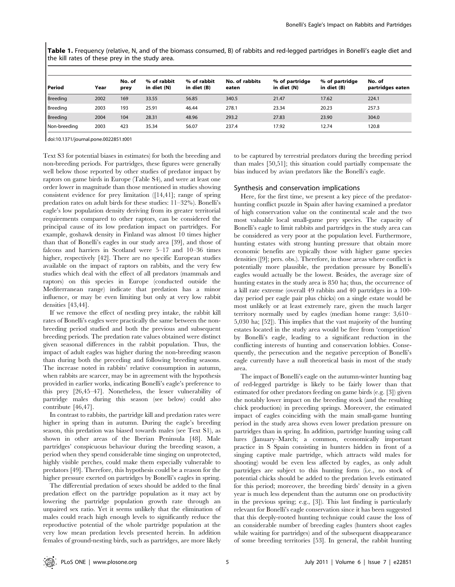Table 1. Frequency (relative, N, and of the biomass consumed, B) of rabbits and red-legged partridges in Bonelli's eagle diet and the kill rates of these prey in the study area.

| Period          | Year | No. of<br>prey | % of rabbit<br>in diet (N) | % of rabbit<br>in diet (B) | No. of rabbits<br>eaten | % of partridge<br>in diet (N) | % of partridge<br>in diet (B) | No. of<br>partridges eaten |
|-----------------|------|----------------|----------------------------|----------------------------|-------------------------|-------------------------------|-------------------------------|----------------------------|
| <b>Breeding</b> | 2002 | 169            | 33.55                      | 56.85                      | 340.5                   | 21.47                         | 17.62                         | 224.1                      |
| Breeding        | 2003 | 193            | 25.91                      | 46.44                      | 278.1                   | 23.34                         | 20.23                         | 257.3                      |
| <b>Breeding</b> | 2004 | 104            | 28.31                      | 48.96                      | 293.2                   | 27.83                         | 23.90                         | 304.0                      |
| Non-breeding    | 2003 | 423            | 35.34                      | 56.07                      | 237.4                   | 17.92                         | 12.74                         | 120.8                      |

doi:10.1371/journal.pone.0022851.t001

Text S3 for potential biases in estimates) for both the breeding and non-breeding periods. For partridges, these figures were generally well below those reported by other studies of predator impact by raptors on game birds in Europe (Table S4), and were at least one order lower in magnitude than those mentioned in studies showing consistent evidence for prey limitation ([14,41]; range of spring predation rates on adult birds for these studies: 11–32%). Bonelli's eagle's low population density deriving from its greater territorial requirements compared to other raptors, can be considered the principal cause of its low predation impact on partridges. For example, goshawk density in Finland was almost 10 times higher than that of Bonelli's eagles in our study area [39], and those of falcons and harriers in Scotland were 5–17 and 10–36 times higher, respectively [42]. There are no specific European studies available on the impact of raptors on rabbits, and the very few studies which deal with the effect of all predators (mammals and raptors) on this species in Europe (conducted outside the Mediterranean range) indicate that predation has a minor influence, or may be even limiting but only at very low rabbit densities [43,44].

If we remove the effect of nestling prey intake, the rabbit kill rates of Bonelli's eagles were practically the same between the nonbreeding period studied and both the previous and subsequent breeding periods. The predation rate values obtained were distinct given seasonal differences in the rabbit population. Thus, the impact of adult eagles was higher during the non-breeding season than during both the preceding and following breeding seasons. The increase noted in rabbits' relative consumption in autumn, when rabbits are scarcer, may be in agreement with the hypothesis provided in earlier works, indicating Bonelli's eagle's preference to this prey [26,45–47]. Nonetheless, the lesser vulnerability of partridge males during this season (see below) could also contribute [46,47].

In contrast to rabbits, the partridge kill and predation rates were higher in spring than in autumn. During the eagle's breeding season, this predation was biased towards males (see Text S1), as shown in other areas of the Iberian Peninsula [48]. Male partridges' conspicuous behaviour during the breeding season, a period when they spend considerable time singing on unprotected, highly visible perches, could make them especially vulnerable to predators [49]. Therefore, this hypothesis could be a reason for the higher pressure exerted on partridges by Bonelli's eagles in spring.

The differential predation of sexes should be added to the final predation effect on the partridge population as it may act by lowering the partridge population growth rate through an unpaired sex ratio. Yet it seems unlikely that the elimination of males could reach high enough levels to significantly reduce the reproductive potential of the whole partridge population at the very low mean predation levels presented herein. In addition females of ground-nesting birds, such as partridges, are more likely

to be captured by terrestrial predators during the breeding period than males [50,51]; this situation could partially compensate the bias induced by avian predators like the Bonelli's eagle.

#### Synthesis and conservation implications

Here, for the first time, we present a key piece of the predatorhunting conflict puzzle in Spain after having examined a predator of high conservation value on the continental scale and the two most valuable local small-game prey species. The capacity of Bonelli's eagle to limit rabbits and partridges in the study area can be considered as very poor at the population level. Furthermore, hunting estates with strong hunting pressure that obtain more economic benefits are typically those with higher game species densities ([9]; pers. obs.). Therefore, in those areas where conflict is potentially more plausible, the predation pressure by Bonelli's eagles would actually be the lowest. Besides, the average size of hunting estates in the study area is 850 ha; thus, the occurrence of a kill rate extreme (overall 49 rabbits and 40 partridges in a 100 day period per eagle pair plus chicks) on a single estate would be most unlikely or at least extremely rare, given the much larger territory normally used by eagles (median home range: 3,610– 5,030 ha; [52]). This implies that the vast majority of the hunting estates located in the study area would be free from 'competition' by Bonelli's eagle, leading to a significant reduction in the conflicting interests of hunting and conservation lobbies. Consequently, the persecution and the negative perception of Bonelli's eagle currently have a null theoretical basis in most of the study area.

The impact of Bonelli's eagle on the autumn-winter hunting bag of red-legged partridge is likely to be fairly lower than that estimated for other predators feeding on game birds (e.g. [3]) given the notably lower impact on the breeding stock (and the resulting chick production) in preceding springs. Moreover, the estimated impact of eagles coinciding with the main small-game hunting period in the study area shows even lower predation pressure on partridges than in spring. In addition, partridge hunting using call lures (January–March; a common, economically important practice in S Spain consisting in hunters hidden in front of a singing captive male partridge, which attracts wild males for shooting) would be even less affected by eagles, as only adult partridges are subject to this hunting form (i.e., no stock of potential chicks should be added to the predation levels estimated for this period; moreover, the breeding birds' density in a given year is much less dependent than the autumn one on productivity in the previous spring; e.g., [3]). This last finding is particularly relevant for Bonelli's eagle conservation since it has been suggested that this deeply-rooted hunting technique could cause the loss of an considerable number of breeding eagles (hunters shoot eagles while waiting for partridges) and of the subsequent disappearance of some breeding territories [53]. In general, the rabbit hunting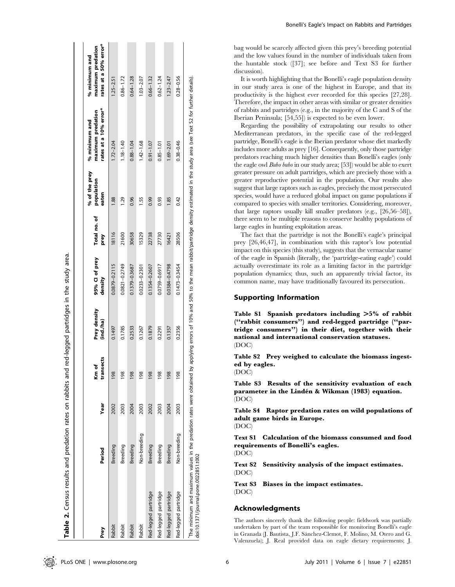| Prey                 | Period       | Year | ransects<br>of<br>E | Prey density<br>(ind./ha) | 95% CI of prey<br>density | Total no. of<br>prey | % of the prey<br>population<br>eaten | rates at a 10% error*<br>maximum predation<br>% minimum and | rates at a 50% error*<br>maximum predation<br>% minimum and |
|----------------------|--------------|------|---------------------|---------------------------|---------------------------|----------------------|--------------------------------------|-------------------------------------------------------------|-------------------------------------------------------------|
| Rabbit               | Breeding     | 2002 | 98                  | 0.1497                    | 0.0879-0.2115             | 18116                | 88                                   | $1.72 - 2.04$                                               | $1.25 - 2.51$                                               |
| Rabbit               | Breeding     | 2003 | 98                  | 0.1785                    | 0.0821-0.2749             | 21600                | 1.29                                 | $1.18 - 1.40$                                               | $0.86 - 1.72$                                               |
| Rabbit               | Breeding     | 2004 | 98                  | 0.2533                    | 0.1379-0.3687             | 30658                | 0.96                                 | $0.88 - 1.04$                                               | $0.64 - 1.28$                                               |
| Rabbit               | Non-breeding | 2003 | 98                  | 0.1267                    | 0.0233-0.2301             | 15329                | I.55                                 | $1.42 - 1.68$                                               | $1.03 - 2.07$                                               |
| Red-legged partridge | Breeding     | 2002 | 98                  | 0.1879                    | 0.1354-0.2607             | 22738                | 0.99                                 | $0.91 - 1.07$                                               | $0.66 - 1.32$                                               |
| Red-legged partridge | Breeding     | 2003 | 98                  | 0.2291                    | 0.0759-0.6917             | 27730                | 0.93                                 | $0.85 - 1.01$                                               | $0.62 - 1.24$                                               |
| Red-legged partridge | Breeding     | 2004 | 98                  | 0.1357                    | 0.0384-0.4798             | 16421                | <b>1.85</b>                          | $1.69 - 2.01$                                               | $1.23 - 2.47$                                               |
| Red-legged partridge | Non-breeding | 2003 | 98                  | 0.2356                    | $0.1473 - 0.3454$         | 28506                | 0.42                                 | $0.38 - 0.46$                                               | $0.28 - 0.56$                                               |

bag would be scarcely affected given this prey's breeding potential and the low values found in the number of individuals taken from the huntable stock ([37]; see before and Text S3 for further discussion).

It is worth highlighting that the Bonelli's eagle population density in our study area is one of the highest in Europe, and that its productivity is the highest ever recorded for this species [27,28]. Therefore, the impact in other areas with similar or greater densities of rabbits and partridges (e.g., in the majority of the C and S of the Iberian Peninsula; [54,55]) is expected to be even lower.

Regarding the possibility of extrapolating our results to other Mediterranean predators, in the specific case of the red-legged partridge, Bonelli's eagle is the Iberian predator whose diet markedly includes more adults as prey [16]. Consequently, only those partridge predators reaching much higher densities than Bonelli's eagles (only the eagle owl Bubo bubo in our study area; [53]) would be able to exert greater pressure on adult partridges, which are precisely those with a greater reproductive potential in the population. Our results also suggest that large raptors such as eagles, precisely the most persecuted species, would have a reduced global impact on game populations if compared to species with smaller territories. Considering, moreover, that large raptors usually kill smaller predators (e.g., [26,56–58]), there seem to be multiple reasons to conserve healthy populations of large eagles in hunting exploitation areas.

The fact that the partridge is not the Bonelli's eagle's principal prey [26,46,47], in combination with this raptor's low potential impact on this species (this study), suggests that the vernacular name of the eagle in Spanish (literally, the 'partridge-eating eagle') could actually overestimate its role as a limiting factor in the partridge population dynamics; thus, such an apparently trivial factor, its common name, may have traditionally favoured its persecution.

## Supporting Information

Table S1 Spanish predators including  $>5\%$  of rabbit (''rabbit consumers'') and red-legged partridge (''partridge consumers'') in their diet, together with their national and international conservation statuses. (DOC)

Table S2 Prey weighed to calculate the biomass ingested by eagles.

(DOC)

Table S3 Results of the sensitivity evaluation of each parameter in the Lindén & Wikman (1983) equation. (DOC)

Table S4 Raptor predation rates on wild populations of adult game birds in Europe.

(DOC)

Text S1 Calculation of the biomass consumed and food requirements of Bonelli's eagles. (DOC)

Text S2 Sensitivity analysis of the impact estimates. (DOC)

Text S3 Biases in the impact estimates. (DOC)

#### Acknowledgments

The authors sincerely thank the following people: fieldwork was partially undertaken by part of the team responsible for monitoring Bonelli's eagle in Granada (J. Bautista, J.F. Sánchez-Clemot, F. Molino, M. Otero and G. Valenzuela); J. Real provided data on eagle dietary requirements; J.

Table 2. Census results and predation rates on rabbits and red-legged partridges in the study area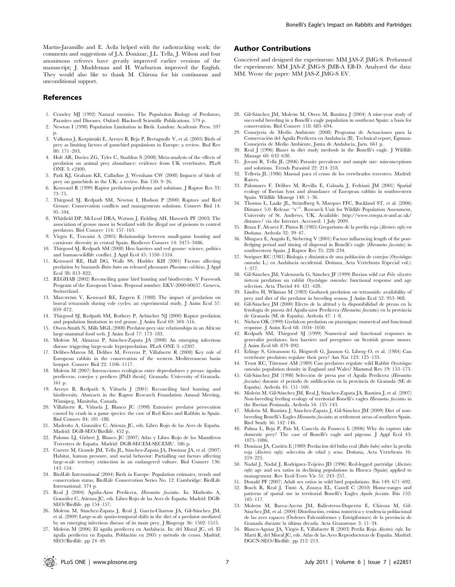#### References

- 1. Crawley MJ (1992) Natural enemies. The Population Biology of Predators, Parasites and Diseases. Oxford: Blackwell Scientific Publications. 579 p.
- 2. Newton I (1998) Population Limitation in Birds. London: Academic Press. 597 p.
- 3. Valkama J, Korpimäki E, Arroyo B, Beja P, Bretagnolle V, et al. (2005) Birds of prey as limiting factors of gamebird populations in Europe: a review. Biol Rev 80: 171–203.
- 4. Holt AR, Davies ZG, Tyler C, Staddon S (2008) Meta-analysis of the effects of predation on animal prey abundance: evidence from UK vertebrates. PLoS ONE 3: e2400.
- 5. Park KJ, Graham KE, Calladine J, Wernham CW (2008) Impacts of birds of prey on gamebirds in the UK: a review. Ibis 150: 9–26.
- 6. Kenward R (1999) Raptor predation problems and solutions. J Raptor Res 33: 73–75.
- 7. Thirgood SJ, Redpath SM, Newton I, Hudson P (2000) Raptors and Red Grouse: Conservation conflicts and managements solutions. Conserv Biol 14: 95–104.
- 8. Whitfield DP, McLeod DRA, Watson J, Fielding AH, Haworth PF (2003) The association of grouse moor in Scotland with the illegal use of poisons to control predators. Biol Conserv 114: 157–163.
- 9. Virgós E, Travaini A (2005) Relationship between small-game hunting and carnivore diversity in central Spain. Biodivers Conserv 14: 3475–3486.
- 10. Thirgood SJ, Redpath SM (2008) Hen harriers and red grouse: science, politics and human-wildlife conflict. J Appl Ecol 45: 1550–1554.
- 11. Kenward RE, Hall DG, Walls SS, Hodder KH (2001) Factors affecting predation by buzzards Buteo buteo on released pheasants Phasianus colchicus. J Appl Ecol 38: 813–822.
- 12. REGHAB (2002) Reconciling game bird hunting and biodiversity. V Forework Program of the European Union. Proposal number: EKV-2000-00637. Geneva, Switzerland.
- 13. Marcström V, Kenward RE, Engren E (1988) The impact of predation on boreal tetraonids during vole cycles: an experimental study. J Anim Ecol 57: 859–872.
- 14. Thirgood SJ, Redpath SM, Rothery P, Aebischer NJ (2000) Raptor predation and population limitation in red grouse. J Anim Ecol 69: 504–516.
- 15. Owen-Smith N, Mills MGL (2008) Predator-prey size relationships in an African large-mammal food web. J Anim Ecol 77: 173–183.
- 16. Moleón M, Almaraz P, Sánchez-Zapata JA (2008) An emerging infectious disease triggering large-scale hyperpredation. PLoS ONE 3: e2307.
- 17. Delibes-Mateos M, Delibes M, Ferreras P, Villafuerte R (2008) Key role of European rabbits in the conservation of the western Mediterranean basin hotspot. Conserv Biol 22: 1106–1117.
- 18. Moleón M (2007) Interacciones ecológicas entre depredadores y presas: águilas perdiceras, conejos y perdices [PhD thesis]. Granada: University of Granada. 161 p.
- 19. Arroyo B, Redpath S, Viñuela J (2001) Reconciling bird hunting and biodiversity. Abstracts in the Raptor Research Foundation Annual Meeting, Winnipeg, Manitoba, Canada.
- 20. Villafuerte R, Viñuela J, Blanco JC (1998) Extensive predator persecution caused by crash in a game species: the case of Red Kites and Rabbits in Spain. Biol Conserv 84: 181–188.
- 21. Madroño A, González C, Atienza JC, eds. Libro Rojo de las Aves de España. Madrid: DGB-SEO/Birdlife. 452 p.
- 22. Palomo LJ, Gisbert J, Blanco JC (2007) Atlas y Libro Rojo de los Mamíferos Terrestres de España. Madrid: DGB-SECEM-SECEMU. 586 p.
- 23. Carrete M, Grande JM, Tella JL, Sánchez-Zapata JA, Donázar JA, et al. (2007) Habitat, human pressure, and social behavior: Partialling out factors affecting large-scale territory extinction in an endangered vulture. Biol Conserv 136: 143–154.
- 24. BirdLife International (2004) Birds in Europe. Population estimates, trends and conservation status, BirdLife Conservation Series No. 12. Cambridge: BirdLife International. 374 p.
- 25. Real J (2004) Águila-Azor Perdicera, Hieraaetus fasciatus. In: Madroño A, González C, Atienza JC, eds. Libro Rojo de las Aves de España. Madrid: DGB-SEO/Birdlife. pp 154–157.
- 26. Moleón M, Sánchez-Zapata J, Real J, García-Charton JA, Gil-Sánchez JM, et al. (2009) Large-scale spatio-temporal shifts in the diet of a predator mediated by an emerging infectious disease of its main prey. J Biogeogr 36: 1502–1515.
- 27. Moleón M (2006) El águila perdicera en Andalucía. In: del Moral JC, ed. El águila perdicera en España. Población en 2005 y método de censo. Madrid: SEO/Birdlife. pp 24–49.

## Author Contributions

Conceived and designed the experiments: MM JAS-Z JMG-S. Performed the experiments: MM JAS-Z JMG-S JMB-A EB-D. Analyzed the data: MM. Wrote the paper: MM JAS-Z JMG-S EV.

- 28. Gil-Sánchez JM, Moleón M, Otero M, Bautista J (2004) A nine-year study of successful breeding in a Bonelli's eagle population in southeast Spain: a basis for conservation. Biol Conserv 118: 685–694.
- 29. Consejería de Medio Ambiente (2008) Programa de Actuaciones para la Conservación del Águila Perdicera en Andalucía (II). Technical report, Egmasa-Consejería de Medio Ambiente, Junta de Andalucía, Jaén. 661 p.
- 30. Real J (1996) Biases in diet study methods in the Bonelli's eagle. J Wildlife Manage 60: 632–638.
- 31. Jovani R, Tella JL (2006) Parasite prevalence and sample size: misconceptions and solutions. Trends Parasitol 22: 214–218.
- 32. Tellería JL (1986) Manual para el censo de los vertebrados terrestres. Madrid: Raíces.
- 33. Palomares F, Delibes M, Revilla E, Calzada J, Fedriani JM (2001) Spatial ecology of Iberian lynx and abundance of European rabbits in southwestern Spain. Wildlife Monogr 148: 1–36.
- 34. Thomas L, Laake JL, Strindberg S, Marques FFC, Buckland ST, et al. (2006) Distance 5.0. Release "x"<sup>1</sup>. Research Unit for Wildlife Population Assessment, University of St. Andrews, UK. Available: http://www.ruwpa.st-and.ac.uk/ distance/ via the Internet. Accessed: 1 July 2009.
- 35. Braza F, Álvarez F, Pintos R (1985) Gregarismo de la perdiz roja (Alectoris rufa) en Doñana. Ardeola 32: 39-47.
- 36. Minguez E, Angulo E, Siebering V (2001) Factors influencing length of the postfledging period and timing of dispersal in Bonelli's eagle (Hieraaetus fasciatus) in southwestern Spain. J Raptor Res 35: 228–234.
- 37. Soriguer RC (1981) Biología y dinámica de una población de conejos (Oryctolagus cuniculus L.) en Andalucía occidental. Doñana, Acta Vertebrata 8(special vol.): 1–377.
- 38. Gil-Sánchez JM, Valenzuela G, Sánchez JF (1999) Iberian wild cat Felis silvestris tartessia predation on rabbit Oryctolagus cuniculus: functional response and age selection. Acta Theriol 44: 421–428.
- 39. Lindén H, Wikman M (1983) Goshawk predation on tetraonids: availability of prey and diet of the predator in breeding season. J Anim Ecol 52: 953–968.
- 40. Gil-Sa´nchez JM (2000) Efecto de la altitud y la disponibilidad de presas en la fenología de puesta del Águila-azor Perdicera (Hieraaetus fasciatus) en la provincia de Granada (SE de España). Ardeola 47: 1-8.
- 41. Nielsen OK (1999) Gyrfalcon predation on ptarmigan: numerical and functional response. J Anim Ecol 68: 1034–1050.
- 42. Redpath SM, Thirgood SJ (1999) Numerical and functional responses in generalist predators: hen harriers and peregrines on Scottish grouse moors. Anim Ecol 68: 879-892.
- 43. Erlinge S, Göransson G, Högstedt G, Jansson G, Liberg O, et al. (1984) Can vertebrate predators regulate their prey? Am Nat 123: 125–133.
- 44. Trout RC, Tittensor AM (1989) Can predators regulate wild Rabbit Oryctolagus cuniculus population density in England and Wales? Mammal Rev 19: 153–173.
- 45. Gil-Sánchez JM (1998) Selección de presa por el Águila Perdicera (Hieraaetus fasciatus) durante el periodo de nidificación en la provincia de Granada (SE de Espan˜a). Ardeola 45: 151–160.
- 46. Moleón M, Gil-Sánchez JM, Real J, Sánchez-Zapata JA, Bautista J, et al. (2007) Non-breeding feeding ecology of territorial Bonelli's eagles Hieraaetus fasciatus in the Iberian Peninsula. Ardeola 54: 135–143.
- 47. Moleón M, Bautista J, Sánchez-Zapata J, Gil-Sánchez JM (2009) Diet of nonbreeding Bonelli's Eagles Hieraaetus fasciatus at settlement areas of southern Spain. Bird Study 56: 142–146.
- 48. Palma L, Beja P, Pais M, Cancela da Fonseca L (2006) Why do raptors take domestic prey? The case of Bonelli's eagle and pigeons. J Appl Ecol 43: 1075–1086.
- 49. Donázar JA, Castién E (1989) Predación del búho real (Bubo bubo) sobre la perdiz roja (Alectoris rufa): selección de edad y sexo. Doñana, Acta Vertebrata 16: 219–225.
- 50. Nadal J, Nadal J, Rodríguez-Teijeiro JD (1996) Red-legged partridge (Alectoris rufa) age and sex ratios in declining populations in Huesca (Spain) applied to management. Rev Ecol-Terre Vie 51: 243–257.
- 51. Donald PF (2007) Adult sex ratios in wild bird populations. Ibis 149: 671–692.
- 52. Bosch R, Real J, Tinto´ A, Zozaya EL, Castell C (2010) Home-ranges and patterns of spatial use in territorial Bonelli's Eagles Aquila fasciata. Ibis 152: 105–117.
- 53. Moleón M, Barea-Azcón JM, Ballesteros-Duperón E, Chirosa M, Gil-Sánchez JM, et al. (2004) Distribución, estima numérica y tendencia poblacional de las aves rapaces (Órdenes Falconiformes y Estrigiformes) de la provincia de Granada durante la última década. Acta Granatense 3: 11–34.
- 54. Blanco-Aguiar JA, Virgós E, Villafuerte R (2003) Perdiz Roja ${\it Alectoris}$ rufa. In: Martí R, del Moral JC, eds. Atlas de las Aves Reproductoras de España. Madrid: DGCN-SEO/Birdlife. pp 212–213.